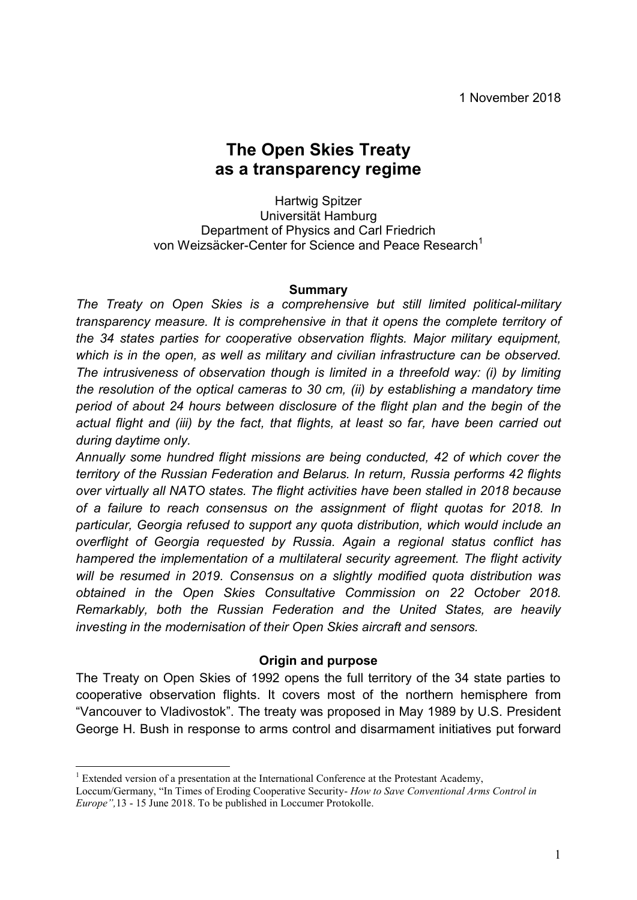# **The Open Skies Treaty as a transparency regime**

Hartwig Spitzer Universität Hamburg Department of Physics and Carl Friedrich von Weizsäcker-Center for Science and Peace Research<sup>1</sup>

#### **Summary**

*The Treaty on Open Skies is a comprehensive but still limited political-military transparency measure. It is comprehensive in that it opens the complete territory of the 34 states parties for cooperative observation flights. Major military equipment, which is in the open, as well as military and civilian infrastructure can be observed. The intrusiveness of observation though is limited in a threefold way: (i) by limiting the resolution of the optical cameras to 30 cm, (ii) by establishing a mandatory time period of about 24 hours between disclosure of the flight plan and the begin of the actual flight and (iii) by the fact, that flights, at least so far, have been carried out during daytime only.* 

*Annually some hundred flight missions are being conducted, 42 of which cover the territory of the Russian Federation and Belarus. In return, Russia performs 42 flights over virtually all NATO states. The flight activities have been stalled in 2018 because of a failure to reach consensus on the assignment of flight quotas for 2018. In particular, Georgia refused to support any quota distribution, which would include an overflight of Georgia requested by Russia. Again a regional status conflict has hampered the implementation of a multilateral security agreement. The flight activity will be resumed in 2019. Consensus on a slightly modified quota distribution was obtained in the Open Skies Consultative Commission on 22 October 2018. Remarkably, both the Russian Federation and the United States, are heavily investing in the modernisation of their Open Skies aircraft and sensors.*

### **Origin and purpose**

The Treaty on Open Skies of 1992 opens the full territory of the 34 state parties to cooperative observation flights. It covers most of the northern hemisphere from "Vancouver to Vladivostok". The treaty was proposed in May 1989 by U.S. President George H. Bush in response to arms control and disarmament initiatives put forward

<sup>&</sup>lt;sup>1</sup> Extended version of a presentation at the International Conference at the Protestant Academy, Loccum/Germany, "In Times of Eroding Cooperative Security- *How to Save Conventional Arms Control in Europe",*13 - 15 June 2018. To be published in Loccumer Protokolle.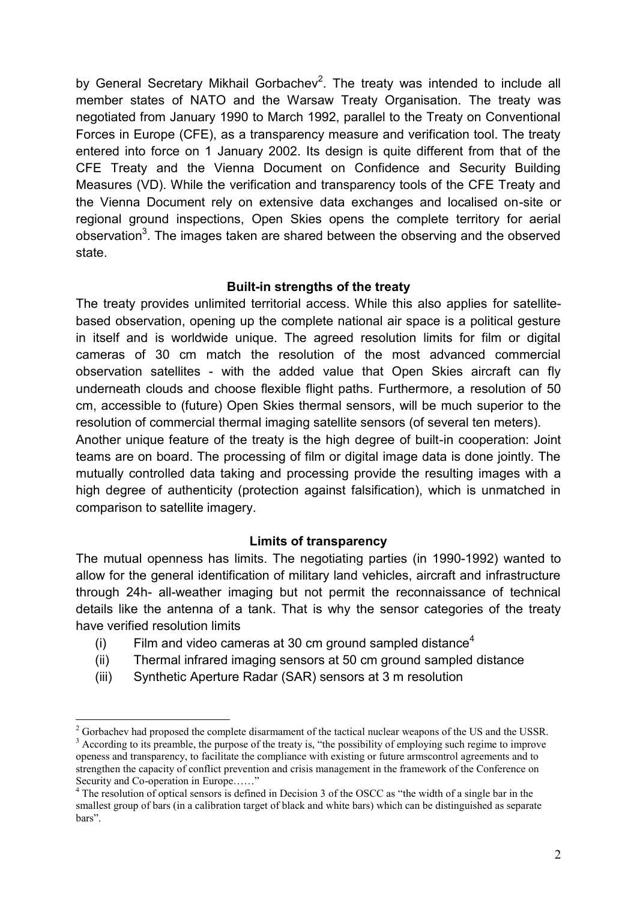by General Secretary Mikhail Gorbachev<sup>2</sup>. The treaty was intended to include all member states of NATO and the Warsaw Treaty Organisation. The treaty was negotiated from January 1990 to March 1992, parallel to the Treaty on Conventional Forces in Europe (CFE), as a transparency measure and verification tool. The treaty entered into force on 1 January 2002. Its design is quite different from that of the CFE Treaty and the Vienna Document on Confidence and Security Building Measures (VD). While the verification and transparency tools of the CFE Treaty and the Vienna Document rely on extensive data exchanges and localised on-site or regional ground inspections, Open Skies opens the complete territory for aerial observation<sup>3</sup>. The images taken are shared between the observing and the observed state.

### **Built-in strengths of the treaty**

The treaty provides unlimited territorial access. While this also applies for satellitebased observation, opening up the complete national air space is a political gesture in itself and is worldwide unique. The agreed resolution limits for film or digital cameras of 30 cm match the resolution of the most advanced commercial observation satellites - with the added value that Open Skies aircraft can fly underneath clouds and choose flexible flight paths. Furthermore, a resolution of 50 cm, accessible to (future) Open Skies thermal sensors, will be much superior to the resolution of commercial thermal imaging satellite sensors (of several ten meters).

Another unique feature of the treaty is the high degree of built-in cooperation: Joint teams are on board. The processing of film or digital image data is done jointly. The mutually controlled data taking and processing provide the resulting images with a high degree of authenticity (protection against falsification), which is unmatched in comparison to satellite imagery.

### **Limits of transparency**

The mutual openness has limits. The negotiating parties (in 1990-1992) wanted to allow for the general identification of military land vehicles, aircraft and infrastructure through 24h- all-weather imaging but not permit the reconnaissance of technical details like the antenna of a tank. That is why the sensor categories of the treaty have verified resolution limits

- (i) Film and video cameras at 30 cm ground sampled distance<sup>4</sup>
- (ii) Thermal infrared imaging sensors at 50 cm ground sampled distance
- (iii) Synthetic Aperture Radar (SAR) sensors at 3 m resolution

 $^{2}$  Gorbachev had proposed the complete disarmament of the tactical nuclear weapons of the US and the USSR. <sup>3</sup> According to its preamble, the purpose of the treaty is, "the possibility of employing such regime to improve openess and transparency, to facilitate the compliance with existing or future armscontrol agreements and to strengthen the capacity of conflict prevention and crisis management in the framework of the Conference on Security and Co-operation in Europe......"

<sup>&</sup>lt;sup>4</sup> The resolution of optical sensors is defined in Decision 3 of the OSCC as "the width of a single bar in the smallest group of bars (in a calibration target of black and white bars) which can be distinguished as separate bars".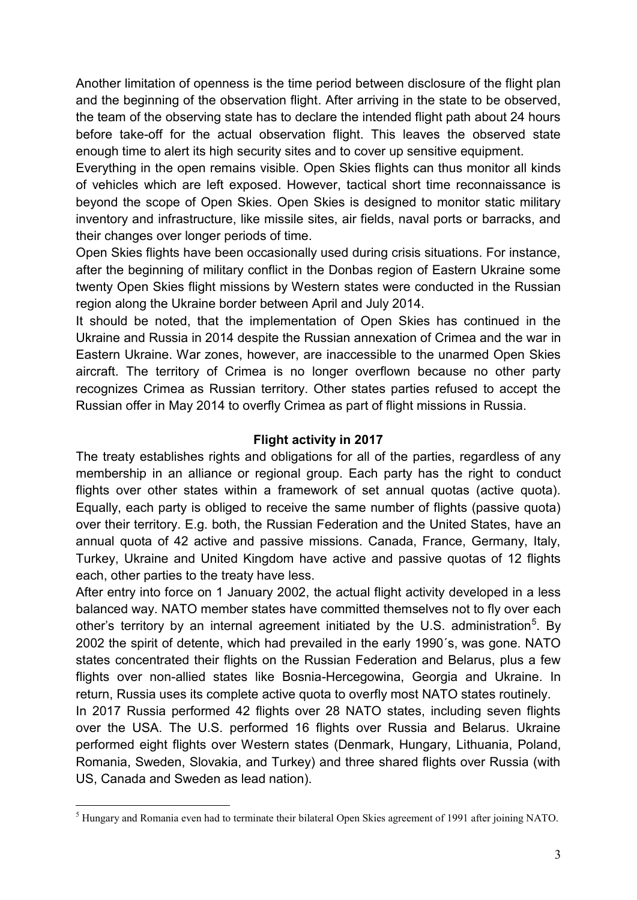Another limitation of openness is the time period between disclosure of the flight plan and the beginning of the observation flight. After arriving in the state to be observed, the team of the observing state has to declare the intended flight path about 24 hours before take-off for the actual observation flight. This leaves the observed state enough time to alert its high security sites and to cover up sensitive equipment.

Everything in the open remains visible. Open Skies flights can thus monitor all kinds of vehicles which are left exposed. However, tactical short time reconnaissance is beyond the scope of Open Skies. Open Skies is designed to monitor static military inventory and infrastructure, like missile sites, air fields, naval ports or barracks, and their changes over longer periods of time.

Open Skies flights have been occasionally used during crisis situations. For instance, after the beginning of military conflict in the Donbas region of Eastern Ukraine some twenty Open Skies flight missions by Western states were conducted in the Russian region along the Ukraine border between April and July 2014.

It should be noted, that the implementation of Open Skies has continued in the Ukraine and Russia in 2014 despite the Russian annexation of Crimea and the war in Eastern Ukraine. War zones, however, are inaccessible to the unarmed Open Skies aircraft. The territory of Crimea is no longer overflown because no other party recognizes Crimea as Russian territory. Other states parties refused to accept the Russian offer in May 2014 to overfly Crimea as part of flight missions in Russia.

## **Flight activity in 2017**

The treaty establishes rights and obligations for all of the parties, regardless of any membership in an alliance or regional group. Each party has the right to conduct flights over other states within a framework of set annual quotas (active quota). Equally, each party is obliged to receive the same number of flights (passive quota) over their territory. E.g. both, the Russian Federation and the United States, have an annual quota of 42 active and passive missions. Canada, France, Germany, Italy, Turkey, Ukraine and United Kingdom have active and passive quotas of 12 flights each, other parties to the treaty have less.

After entry into force on 1 January 2002, the actual flight activity developed in a less balanced way. NATO member states have committed themselves not to fly over each other's territory by an internal agreement initiated by the U.S. administration<sup>5</sup>. By 2002 the spirit of detente, which had prevailed in the early 1990´s, was gone. NATO states concentrated their flights on the Russian Federation and Belarus, plus a few flights over non-allied states like Bosnia-Hercegowina, Georgia and Ukraine. In return, Russia uses its complete active quota to overfly most NATO states routinely.

In 2017 Russia performed 42 flights over 28 NATO states, including seven flights over the USA. The U.S. performed 16 flights over Russia and Belarus. Ukraine performed eight flights over Western states (Denmark, Hungary, Lithuania, Poland, Romania, Sweden, Slovakia, and Turkey) and three shared flights over Russia (with US, Canada and Sweden as lead nation).

 $\overline{a}$ <sup>5</sup> Hungary and Romania even had to terminate their bilateral Open Skies agreement of 1991 after joining NATO.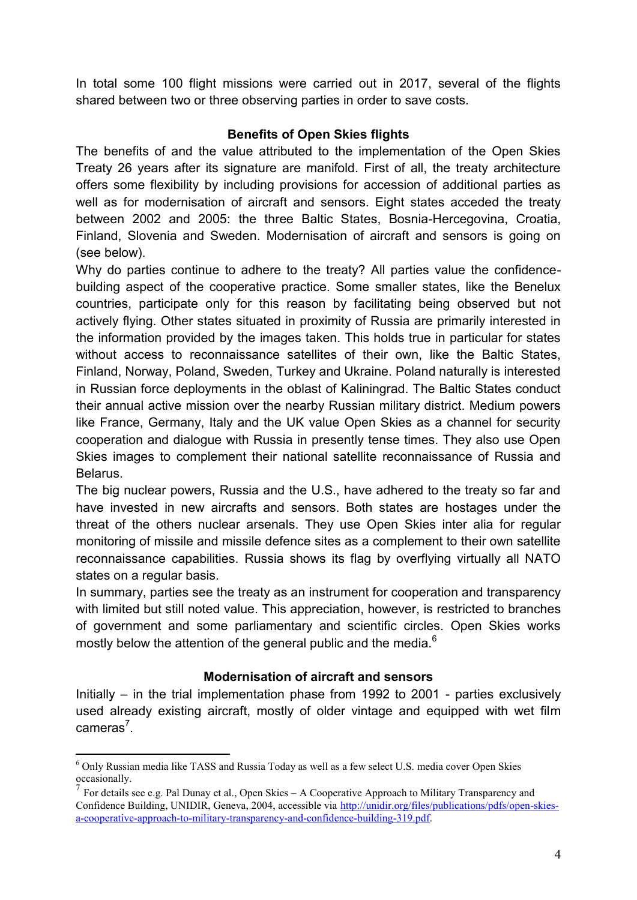In total some 100 flight missions were carried out in 2017, several of the flights shared between two or three observing parties in order to save costs.

## **Benefits of Open Skies flights**

The benefits of and the value attributed to the implementation of the Open Skies Treaty 26 years after its signature are manifold. First of all, the treaty architecture offers some flexibility by including provisions for accession of additional parties as well as for modernisation of aircraft and sensors. Eight states acceded the treaty between 2002 and 2005: the three Baltic States, Bosnia-Hercegovina, Croatia, Finland, Slovenia and Sweden. Modernisation of aircraft and sensors is going on (see below).

Why do parties continue to adhere to the treaty? All parties value the confidencebuilding aspect of the cooperative practice. Some smaller states, like the Benelux countries, participate only for this reason by facilitating being observed but not actively flying. Other states situated in proximity of Russia are primarily interested in the information provided by the images taken. This holds true in particular for states without access to reconnaissance satellites of their own, like the Baltic States, Finland, Norway, Poland, Sweden, Turkey and Ukraine. Poland naturally is interested in Russian force deployments in the oblast of Kaliningrad. The Baltic States conduct their annual active mission over the nearby Russian military district. Medium powers like France, Germany, Italy and the UK value Open Skies as a channel for security cooperation and dialogue with Russia in presently tense times. They also use Open Skies images to complement their national satellite reconnaissance of Russia and Belarus.

The big nuclear powers, Russia and the U.S., have adhered to the treaty so far and have invested in new aircrafts and sensors. Both states are hostages under the threat of the others nuclear arsenals. They use Open Skies inter alia for regular monitoring of missile and missile defence sites as a complement to their own satellite reconnaissance capabilities. Russia shows its flag by overflying virtually all NATO states on a regular basis.

In summary, parties see the treaty as an instrument for cooperation and transparency with limited but still noted value. This appreciation, however, is restricted to branches of government and some parliamentary and scientific circles. Open Skies works mostly below the attention of the general public and the media.<sup>6</sup>

## **Modernisation of aircraft and sensors**

Initially – in the trial implementation phase from 1992 to 2001 - parties exclusively used already existing aircraft, mostly of older vintage and equipped with wet film cameras<sup>7</sup>.

<sup>6</sup> Only Russian media like TASS and Russia Today as well as a few select U.S. media cover Open Skies occasionally.

<sup>7</sup> For details see e.g. Pal Dunay et al., Open Skies – A Cooperative Approach to Military Transparency and Confidence Building, UNIDIR, Geneva, 2004, accessible via [http://unidir.org/files/publications/pdfs/open-skies](http://unidir.org/files/publications/pdfs/open-skies-a-cooperative-approach-to-military-transparency-and-confidence-building-319.pdf)[a-cooperative-approach-to-military-transparency-and-confidence-building-319.pdf.](http://unidir.org/files/publications/pdfs/open-skies-a-cooperative-approach-to-military-transparency-and-confidence-building-319.pdf)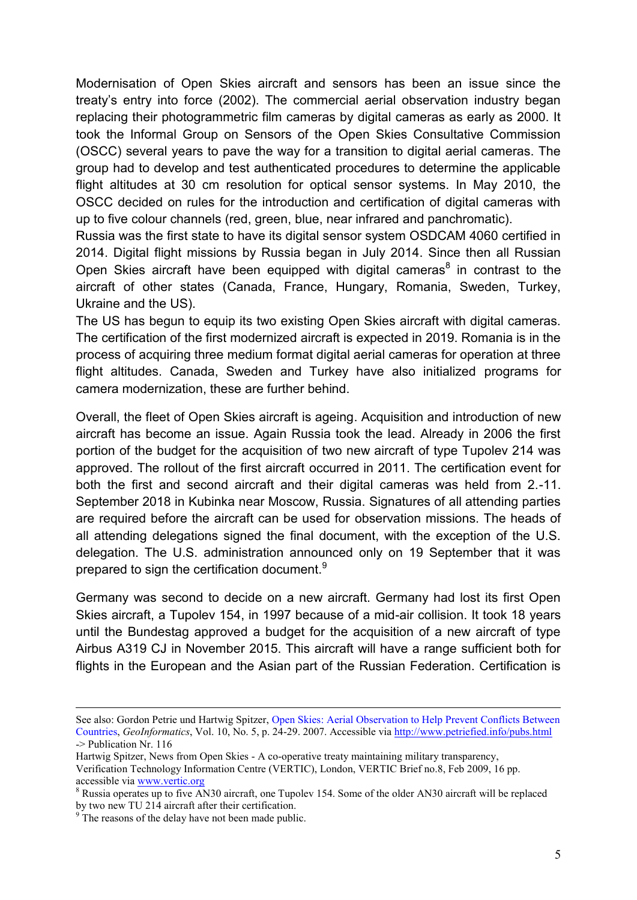Modernisation of Open Skies aircraft and sensors has been an issue since the treaty's entry into force (2002). The commercial aerial observation industry began replacing their photogrammetric film cameras by digital cameras as early as 2000. It took the Informal Group on Sensors of the Open Skies Consultative Commission (OSCC) several years to pave the way for a transition to digital aerial cameras. The group had to develop and test authenticated procedures to determine the applicable flight altitudes at 30 cm resolution for optical sensor systems. In May 2010, the OSCC decided on rules for the introduction and certification of digital cameras with up to five colour channels (red, green, blue, near infrared and panchromatic).

Russia was the first state to have its digital sensor system OSDCAM 4060 certified in 2014. Digital flight missions by Russia began in July 2014. Since then all Russian Open Skies aircraft have been equipped with digital cameras $<sup>8</sup>$  in contrast to the</sup> aircraft of other states (Canada, France, Hungary, Romania, Sweden, Turkey, Ukraine and the US).

The US has begun to equip its two existing Open Skies aircraft with digital cameras. The certification of the first modernized aircraft is expected in 2019. Romania is in the process of acquiring three medium format digital aerial cameras for operation at three flight altitudes. Canada, Sweden and Turkey have also initialized programs for camera modernization, these are further behind.

Overall, the fleet of Open Skies aircraft is ageing. Acquisition and introduction of new aircraft has become an issue. Again Russia took the lead. Already in 2006 the first portion of the budget for the acquisition of two new aircraft of type Tupolev 214 was approved. The rollout of the first aircraft occurred in 2011. The certification event for both the first and second aircraft and their digital cameras was held from 2.-11. September 2018 in Kubinka near Moscow, Russia. Signatures of all attending parties are required before the aircraft can be used for observation missions. The heads of all attending delegations signed the final document, with the exception of the U.S. delegation. The U.S. administration announced only on 19 September that it was prepared to sign the certification document.<sup>9</sup>

Germany was second to decide on a new aircraft. Germany had lost its first Open Skies aircraft, a Tupolev 154, in 1997 because of a mid-air collision. It took 18 years until the Bundestag approved a budget for the acquisition of a new aircraft of type Airbus A319 CJ in November 2015. This aircraft will have a range sufficient both for flights in the European and the Asian part of the Russian Federation. Certification is

See also: Gordon Petrie und Hartwig Spitzer, [Open Skies: Aerial Observation to Help Prevent Conflicts Between](http://web2.ges.gla.ac.uk/~gpetrie/Petrie_Open_Skies_P24-29%20GEO_07_05_LR.pdf)  [Countries,](http://web2.ges.gla.ac.uk/~gpetrie/Petrie_Open_Skies_P24-29%20GEO_07_05_LR.pdf) *GeoInformatics*, Vol. 10, No. 5, p. 24-29. 2007. Accessible vi[a http://www.petriefied.info/pubs.html](http://www.petriefied.info/pubs.html)  -> Publication Nr. 116

Hartwig Spitzer, News from Open Skies - A co-operative treaty maintaining military transparency, Verification Technology Information Centre (VERTIC), London, VERTIC Brief no.8, Feb 2009, 16 pp. accessible via [www.vertic.org](http://www.vertic.org/)

<sup>&</sup>lt;sup>8</sup> Russia operates up to five AN30 aircraft, one Tupolev 154. Some of the older AN30 aircraft will be replaced by two new TU 214 aircraft after their certification.

<sup>&</sup>lt;sup>9</sup> The reasons of the delay have not been made public.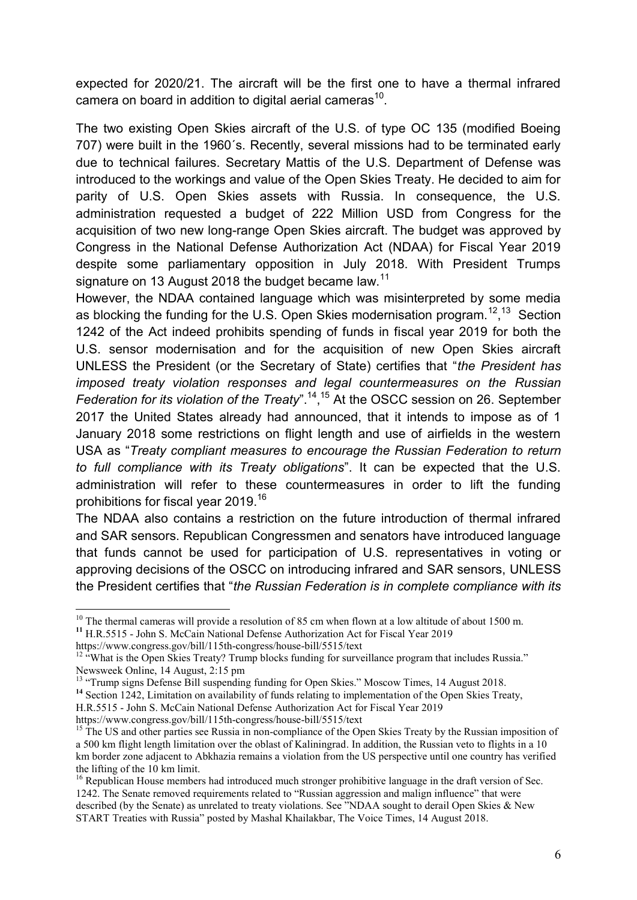expected for 2020/21. The aircraft will be the first one to have a thermal infrared camera on board in addition to digital aerial cameras<sup>10</sup>.

The two existing Open Skies aircraft of the U.S. of type OC 135 (modified Boeing 707) were built in the 1960´s. Recently, several missions had to be terminated early due to technical failures. Secretary Mattis of the U.S. Department of Defense was introduced to the workings and value of the Open Skies Treaty. He decided to aim for parity of U.S. Open Skies assets with Russia. In consequence, the U.S. administration requested a budget of 222 Million USD from Congress for the acquisition of two new long-range Open Skies aircraft. The budget was approved by Congress in the National Defense Authorization Act (NDAA) for Fiscal Year 2019 despite some parliamentary opposition in July 2018. With President Trumps signature on 13 August 2018 the budget became law.<sup>11</sup>

However, the NDAA contained language which was misinterpreted by some media as blocking the funding for the U.S. Open Skies modernisation program.<sup>12</sup>,<sup>13</sup> Section 1242 of the Act indeed prohibits spending of funds in fiscal year 2019 for both the U.S. sensor modernisation and for the acquisition of new Open Skies aircraft UNLESS the President (or the Secretary of State) certifies that "*the President has imposed treaty violation responses and legal countermeasures on the Russian*  Federation for its violation of the Treaty".<sup>14</sup>,<sup>15</sup> At the OSCC session on 26. September 2017 the United States already had announced, that it intends to impose as of 1 January 2018 some restrictions on flight length and use of airfields in the western USA as "*Treaty compliant measures to encourage the Russian Federation to return to full compliance with its Treaty obligations*". It can be expected that the U.S. administration will refer to these countermeasures in order to lift the funding prohibitions for fiscal year 2019.<sup>16</sup>

The NDAA also contains a restriction on the future introduction of thermal infrared and SAR sensors. Republican Congressmen and senators have introduced language that funds cannot be used for participation of U.S. representatives in voting or approving decisions of the OSCC on introducing infrared and SAR sensors, UNLESS the President certifies that "*the Russian Federation is in complete compliance with its* 

https://www.congress.gov/bill/115th-congress/house-bill/5515/text

 $\overline{a}$ 

<sup>14</sup> Section 1242, Limitation on availability of funds relating to implementation of the Open Skies Treaty,

https://www.congress.gov/bill/115th-congress/house-bill/5515/text

 $10$  The thermal cameras will provide a resolution of 85 cm when flown at a low altitude of about 1500 m. **<sup>11</sup>** H.R.5515 - John S. McCain National Defense Authorization Act for Fiscal Year 2019

<sup>&</sup>lt;sup>12 "</sup>What is the Open Skies Treaty? Trump blocks funding for surveillance program that includes Russia." Newsweek Online, 14 August, 2:15 pm

<sup>&</sup>lt;sup>13</sup> "Trump signs Defense Bill suspending funding for Open Skies." Moscow Times, 14 August 2018.

H.R.5515 - John S. McCain National Defense Authorization Act for Fiscal Year 2019

<sup>&</sup>lt;sup>15</sup> The US and other parties see Russia in non-compliance of the Open Skies Treaty by the Russian imposition of a 500 km flight length limitation over the oblast of Kaliningrad. In addition, the Russian veto to flights in a 10 km border zone adjacent to Abkhazia remains a violation from the US perspective until one country has verified the lifting of the 10 km limit.

<sup>&</sup>lt;sup>16</sup> Republican House members had introduced much stronger prohibitive language in the draft version of Sec. 1242. The Senate removed requirements related to "Russian aggression and malign influence" that were described (by the Senate) as unrelated to treaty violations. See "NDAA sought to derail Open Skies & New START Treaties with Russia" posted by Mashal Khailakbar, The Voice Times, 14 August 2018.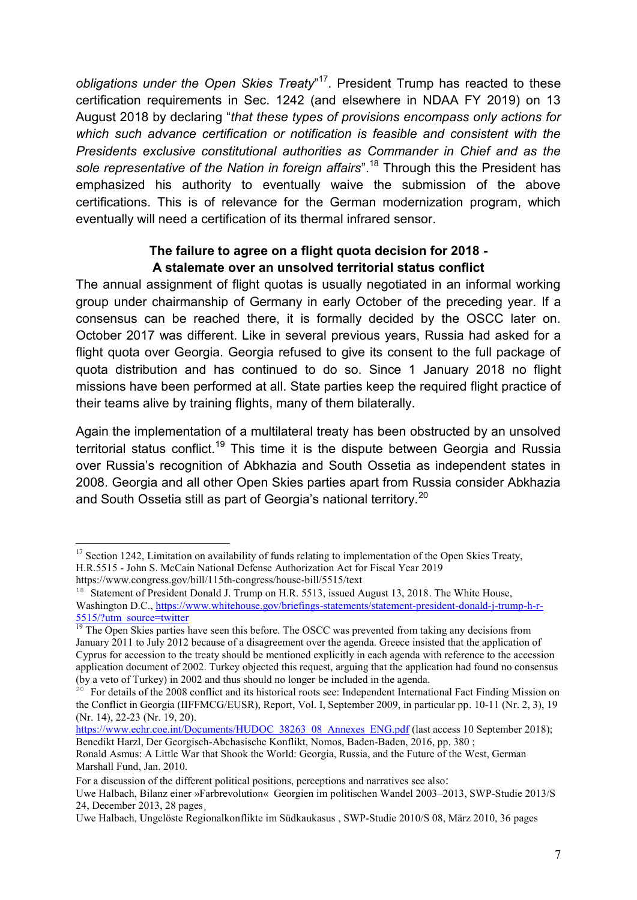*obligations under the Open Skies Treaty*" <sup>17</sup>. President Trump has reacted to these certification requirements in Sec. 1242 (and elsewhere in NDAA FY 2019) on 13 August 2018 by declaring "*that these types of provisions encompass only actions for which such advance certification or notification is feasible and consistent with the Presidents exclusive constitutional authorities as Commander in Chief and as the sole representative of the Nation in foreign affairs*".<sup>18</sup> Through this the President has emphasized his authority to eventually waive the submission of the above certifications. This is of relevance for the German modernization program, which eventually will need a certification of its thermal infrared sensor.

## **The failure to agree on a flight quota decision for 2018 - A stalemate over an unsolved territorial status conflict**

The annual assignment of flight quotas is usually negotiated in an informal working group under chairmanship of Germany in early October of the preceding year. If a consensus can be reached there, it is formally decided by the OSCC later on. October 2017 was different. Like in several previous years, Russia had asked for a flight quota over Georgia. Georgia refused to give its consent to the full package of quota distribution and has continued to do so. Since 1 January 2018 no flight missions have been performed at all. State parties keep the required flight practice of their teams alive by training flights, many of them bilaterally.

Again the implementation of a multilateral treaty has been obstructed by an unsolved territorial status conflict.<sup>19</sup> This time it is the dispute between Georgia and Russia over Russia's recognition of Abkhazia and South Ossetia as independent states in 2008. Georgia and all other Open Skies parties apart from Russia consider Abkhazia and South Ossetia still as part of Georgia's national territory.<sup>20</sup>

 $17$  Section 1242, Limitation on availability of funds relating to implementation of the Open Skies Treaty, H.R.5515 - John S. McCain National Defense Authorization Act for Fiscal Year 2019 https://www.congress.gov/bill/115th-congress/house-bill/5515/text

<sup>&</sup>lt;sup>18</sup> Statement of President Donald J. Trump on H.R. 5513, issued August 13, 2018. The White House, Washington D.C., [https://www.whitehouse.gov/briefings-statements/statement-president-donald-j-trump-h-r-](https://www.whitehouse.gov/briefings-statements/statement-president-donald-j-trump-h-r-5515/?utm_source=twitter)

[<sup>5515/?</sup>utm\\_source=twitter](https://www.whitehouse.gov/briefings-statements/statement-president-donald-j-trump-h-r-5515/?utm_source=twitter)

<sup>&</sup>lt;sup>19</sup> The Open Skies parties have seen this before. The OSCC was prevented from taking any decisions from January 2011 to July 2012 because of a disagreement over the agenda. Greece insisted that the application of Cyprus for accession to the treaty should be mentioned explicitly in each agenda with reference to the accession application document of 2002. Turkey objected this request, arguing that the application had found no consensus (by a veto of Turkey) in 2002 and thus should no longer be included in the agenda.

<sup>&</sup>lt;sup>20</sup> For details of the 2008 conflict and its historical roots see: Independent International Fact Finding Mission on the Conflict in Georgia (IIFFMCG/EUSR), Report, Vol. I, September 2009, in particular pp. 10-11 (Nr. 2, 3), 19 (Nr. 14), 22-23 (Nr. 19, 20).

[https://www.echr.coe.int/Documents/HUDOC\\_38263\\_08\\_Annexes\\_ENG.pdf](https://www.echr.coe.int/Documents/HUDOC_38263_08_Annexes_ENG.pdf) (last access 10 September 2018); Benedikt Harzl, Der Georgisch-Abchasische Konflikt, Nomos, Baden-Baden, 2016, pp. 380 ;

Ronald Asmus: A Little War that Shook the World: Georgia, Russia, and the Future of the West, German Marshall Fund, Jan. 2010.

For a discussion of the different political positions, perceptions and narratives see also:

[Uwe Halbach,](https://www.swp-berlin.org/wissenschaftler-detail/uwe-halbach/) [Bilanz einer »Farbrevolution«](https://www.swp-berlin.org/publikation/georgien-bilanz-der-rosenrevolution/) Georgien im politischen Wandel 2003–2013, SWP-Studie 2013/S 24, December 2013, 28 pages¸

[Uwe Halbach,](https://www.swp-berlin.org/wissenschaftler-detail/uwe-halbach/) [Ungelöste Regionalkonflikte im Südkaukasus ,](https://www.swp-berlin.org/publikation/suedkaukasus-ungeloeste-konflikte/) SWP-Studie 2010/S 08, März 2010, 36 pages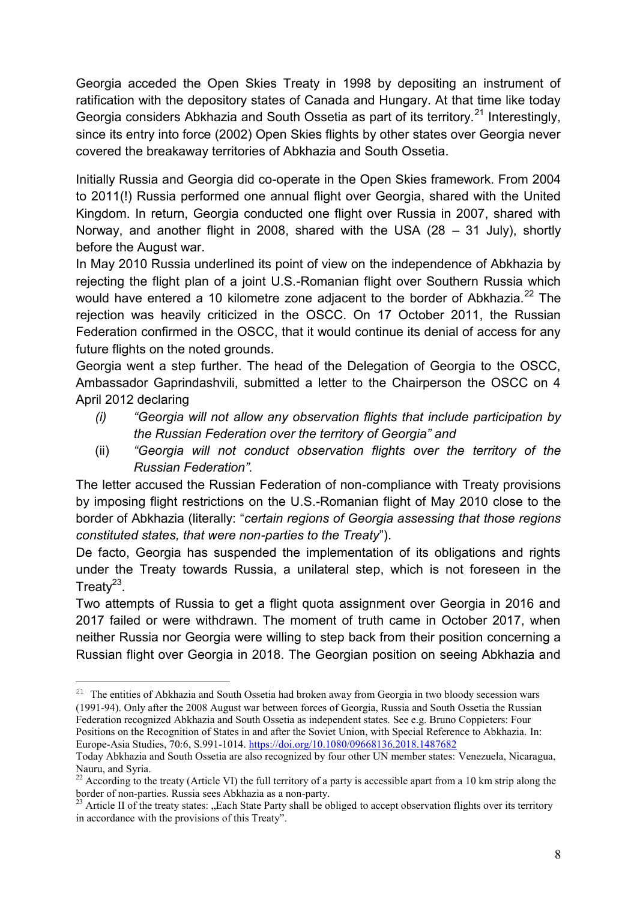Georgia acceded the Open Skies Treaty in 1998 by depositing an instrument of ratification with the depository states of Canada and Hungary. At that time like today Georgia considers Abkhazia and South Ossetia as part of its territory.<sup>21</sup> Interestingly, since its entry into force (2002) Open Skies flights by other states over Georgia never covered the breakaway territories of Abkhazia and South Ossetia.

Initially Russia and Georgia did co-operate in the Open Skies framework. From 2004 to 2011(!) Russia performed one annual flight over Georgia, shared with the United Kingdom. In return, Georgia conducted one flight over Russia in 2007, shared with Norway, and another flight in 2008, shared with the USA (28 – 31 July), shortly before the August war.

In May 2010 Russia underlined its point of view on the independence of Abkhazia by rejecting the flight plan of a joint U.S.-Romanian flight over Southern Russia which would have entered a 10 kilometre zone adjacent to the border of Abkhazia.<sup>22</sup> The rejection was heavily criticized in the OSCC. On 17 October 2011, the Russian Federation confirmed in the OSCC, that it would continue its denial of access for any future flights on the noted grounds.

Georgia went a step further. The head of the Delegation of Georgia to the OSCC, Ambassador Gaprindashvili, submitted a letter to the Chairperson the OSCC on 4 April 2012 declaring

- *(i) "Georgia will not allow any observation flights that include participation by the Russian Federation over the territory of Georgia" and*
- (ii) *"Georgia will not conduct observation flights over the territory of the Russian Federation".*

The letter accused the Russian Federation of non-compliance with Treaty provisions by imposing flight restrictions on the U.S.-Romanian flight of May 2010 close to the border of Abkhazia (literally: "*certain regions of Georgia assessing that those regions constituted states, that were non-parties to the Treaty*").

De facto, Georgia has suspended the implementation of its obligations and rights under the Treaty towards Russia, a unilateral step, which is not foreseen in the Treaty $23$ .

Two attempts of Russia to get a flight quota assignment over Georgia in 2016 and 2017 failed or were withdrawn. The moment of truth came in October 2017, when neither Russia nor Georgia were willing to step back from their position concerning a Russian flight over Georgia in 2018. The Georgian position on seeing Abkhazia and

<sup>&</sup>lt;sup>21</sup> The entities of Abkhazia and South Ossetia had broken away from Georgia in two bloody secession wars (1991-94). Only after the 2008 August war between forces of Georgia, Russia and South Ossetia the Russian Federation recognized Abkhazia and South Ossetia as independent states. See e.g. Bruno Coppieters: Four Positions on the Recognition of States in and after the Soviet Union, with Special Reference to Abkhazia. In: Europe-Asia Studies, 70:6, S.991-1014[. https://doi.org/10.1080/09668136.2018.1487682](https://doi.org/10.1080/09668136.2018.1487682)

Today Abkhazia and South Ossetia are also recognized by four other UN member states: [Venezuela,](https://en.wikipedia.org/wiki/Venezuela) [Nicaragua,](https://en.wikipedia.org/wiki/Nicaragua) [Nauru,](https://en.wikipedia.org/wiki/Nauru) and [Syria.](https://en.wikipedia.org/wiki/Syria)

 $^{22}$  According to the treaty (Article VI) the full territory of a party is accessible apart from a 10 km strip along the border of non-parties. Russia sees Abkhazia as a non-party.

<sup>&</sup>lt;sup>23</sup> Article II of the treaty states: "Each State Party shall be obliged to accept observation flights over its territory in accordance with the provisions of this Treaty".